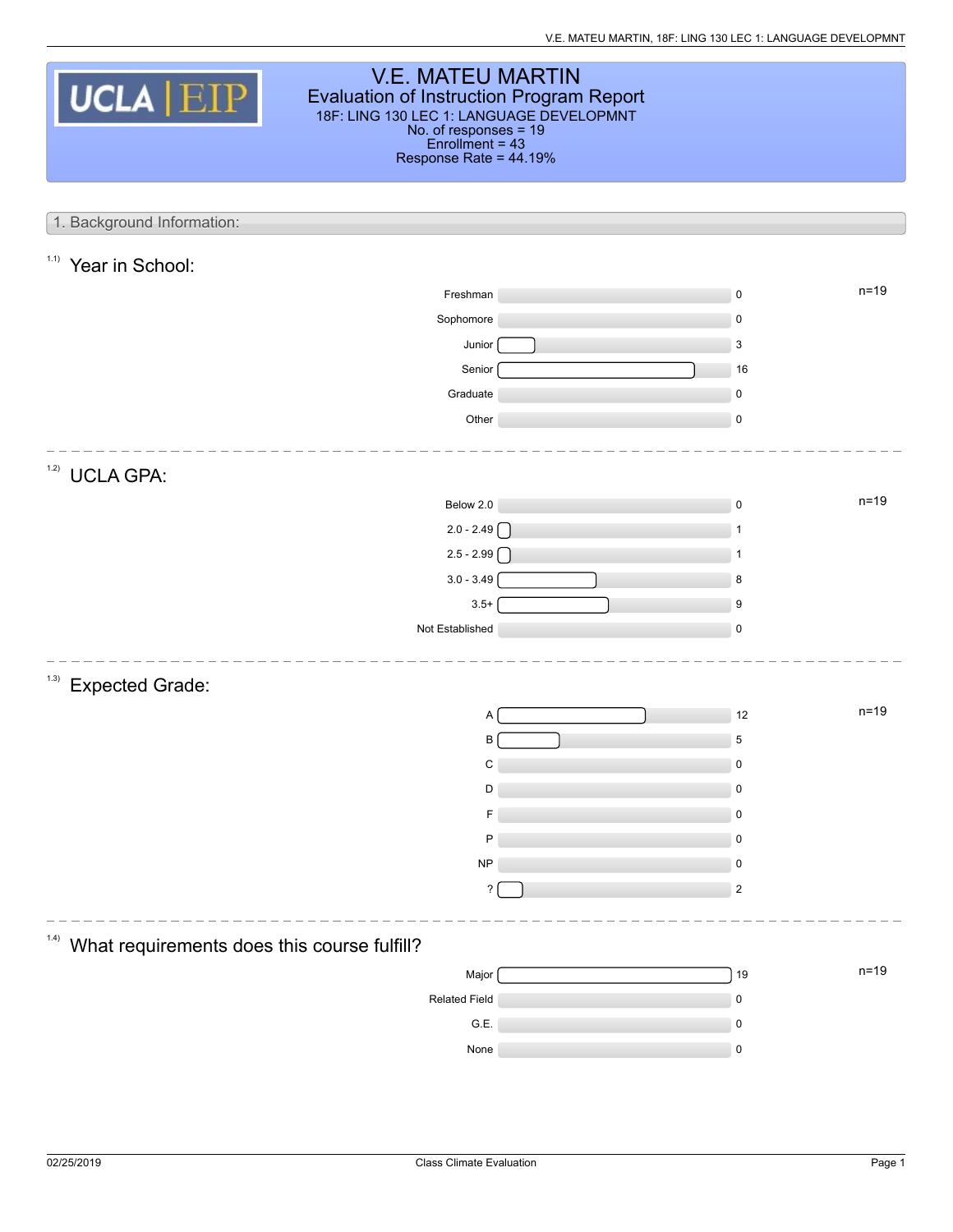| <b>V.E. MATEU MARTIN</b><br><b>UCLA EIP</b><br><b>Evaluation of Instruction Program Report</b><br>18F: LING 130 LEC 1: LANGUAGE DEVELOPMNT<br>No. of responses = 19<br>$Enrollment = 43$<br>Response Rate = 44.19% |  |                          |        |  |  |  |  |
|--------------------------------------------------------------------------------------------------------------------------------------------------------------------------------------------------------------------|--|--------------------------|--------|--|--|--|--|
| 1. Background Information:                                                                                                                                                                                         |  |                          |        |  |  |  |  |
|                                                                                                                                                                                                                    |  |                          |        |  |  |  |  |
| 1.1)<br>Year in School:                                                                                                                                                                                            |  |                          |        |  |  |  |  |
| Freshman                                                                                                                                                                                                           |  | $\pmb{0}$                | $n=19$ |  |  |  |  |
| Sophomore                                                                                                                                                                                                          |  | $\mathbf 0$              |        |  |  |  |  |
| Junior                                                                                                                                                                                                             |  | 3                        |        |  |  |  |  |
| Senior                                                                                                                                                                                                             |  | 16                       |        |  |  |  |  |
| Graduate<br>Other                                                                                                                                                                                                  |  | $\mathbf 0$<br>$\pmb{0}$ |        |  |  |  |  |
|                                                                                                                                                                                                                    |  |                          |        |  |  |  |  |
| 1.2)<br><b>UCLA GPA:</b>                                                                                                                                                                                           |  |                          |        |  |  |  |  |
| Below 2.0                                                                                                                                                                                                          |  | $\pmb{0}$                | $n=19$ |  |  |  |  |
| $2.0 - 2.49$                                                                                                                                                                                                       |  | 1                        |        |  |  |  |  |
| $2.5 - 2.99$                                                                                                                                                                                                       |  | $\mathbf{1}$             |        |  |  |  |  |
| $3.0 - 3.49$                                                                                                                                                                                                       |  | 8                        |        |  |  |  |  |
| $3.5+$                                                                                                                                                                                                             |  | 9                        |        |  |  |  |  |
| Not Established                                                                                                                                                                                                    |  | $\pmb{0}$                |        |  |  |  |  |
| (1.3)<br><b>Expected Grade:</b>                                                                                                                                                                                    |  |                          |        |  |  |  |  |
| A                                                                                                                                                                                                                  |  | 12                       | $n=19$ |  |  |  |  |
| В                                                                                                                                                                                                                  |  | 5                        |        |  |  |  |  |
| C                                                                                                                                                                                                                  |  | $\pmb{0}$                |        |  |  |  |  |
| D                                                                                                                                                                                                                  |  | $\pmb{0}$                |        |  |  |  |  |
| F                                                                                                                                                                                                                  |  | $\pmb{0}$                |        |  |  |  |  |
| P                                                                                                                                                                                                                  |  | 0                        |        |  |  |  |  |
| $\sf NP$                                                                                                                                                                                                           |  | $\pmb{0}$                |        |  |  |  |  |
| $\overline{\mathcal{E}}$                                                                                                                                                                                           |  | $\overline{2}$           |        |  |  |  |  |
| What requirements does this course fulfill?                                                                                                                                                                        |  |                          |        |  |  |  |  |
| Major                                                                                                                                                                                                              |  | 19                       | $n=19$ |  |  |  |  |
| Related Field                                                                                                                                                                                                      |  | $\pmb{0}$                |        |  |  |  |  |
| G.E.                                                                                                                                                                                                               |  | $\pmb{0}$                |        |  |  |  |  |
| None                                                                                                                                                                                                               |  | $\pmb{0}$                |        |  |  |  |  |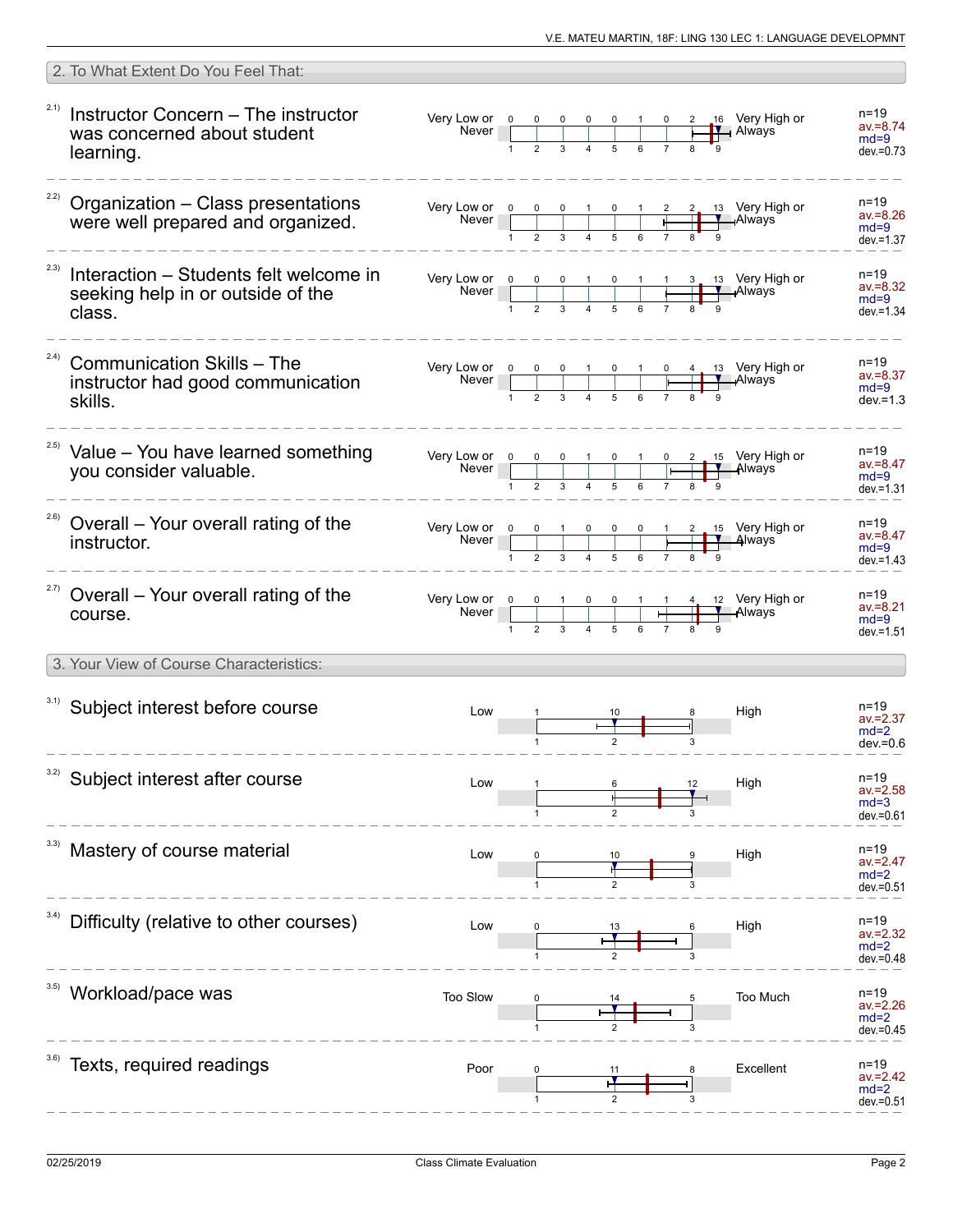|       | 2. To What Extent Do You Feel That:                                                   |                                                                                                                                                                                                                                                                                         |  |  |  |  |                     |                                                                                    |                                                   |
|-------|---------------------------------------------------------------------------------------|-----------------------------------------------------------------------------------------------------------------------------------------------------------------------------------------------------------------------------------------------------------------------------------------|--|--|--|--|---------------------|------------------------------------------------------------------------------------|---------------------------------------------------|
| 2.1)  | Instructor Concern - The instructor<br>was concerned about student<br>learning.       | Very Low or $\begin{array}{c cccc} 0 & 0 & 0 & 0 & 0 & 1 & 0 \\ \hline \text{Never} & & & & & & & \\ \hline & & & & & & & \\ 1 & 2 & 3 & 4 & 5 & 6 & 7 \end{array}$                                                                                                                     |  |  |  |  | $\mathbf{I}$ Always | 2 16 Very High or                                                                  | $n = 19$<br>$av = 8.74$<br>$md=9$<br>$dev = 0.73$ |
|       | $22)$ Organization - Class presentations<br>were well prepared and organized.         | Very Low or $\begin{array}{ c c c c c }\n\hline\n0 & 0 & 0 & 1 & 0 & 1 \\ \hline\n\end{array}$                                                                                                                                                                                          |  |  |  |  |                     | 2. 13 Very High or<br>—ıAlways                                                     | n=19<br>$av = 8.26$<br>$md=9$<br>$dev = 1.37$     |
| 2.3)  | Interaction – Students felt welcome in<br>seeking help in or outside of the<br>class. | Very Low or $\begin{array}{ c c c c c c c c c }\n\hline\n& & & & 0 & 0 & 1 & 0 & 1 & 1 & 3 & 13 & \text{Very High or } \\ \hline\n& & & & & & & & \text{Always} \\ & & & & & 1 & 2 & 3 & 4 & 5 & 6 & 7 & 8 & 9 \\ \hline\n& & & & & & & 1 & 2 & 3 & 4 & 5 & 6 & 7 & 8 & 9\n\end{array}$ |  |  |  |  |                     |                                                                                    | n=19<br>$av = 8.32$<br>$md=9$<br>$dev = 1.34$     |
| (2.4) | <b>Communication Skills - The</b><br>instructor had good communication<br>skills.     | Very Low or $\begin{array}{ c c c c c c }\n\hline\n0 & 0 & 0 & 1 & 0 & 1 & 0 & 4 & 13 & \text{Very High or }\n\hline\n\hline\n\end{array}$ Always                                                                                                                                       |  |  |  |  |                     |                                                                                    | n=19<br>$av = 8.37$<br>$md=9$<br>$dev = 1.3$      |
|       | <sup>2.5)</sup> Value - You have learned something<br>vou consider valuable.          | Very Low or $\begin{array}{c cccc} 0 & 0 & 0 & 1 & 0 & 1 \\ \hline 1 & 0 & 1 & 0 & 1 \\ \hline \end{array}$                                                                                                                                                                             |  |  |  |  |                     | $\begin{array}{ccc} 0 & 2 & 15 & \text{Very High or} \\ \hline \end{array}$ Always | n=19<br>$av = 8.47$<br>$md=9$<br>$dev = 1.31$     |
|       | <sup>2.6)</sup> Overall - Your overall rating of the<br>instructor.                   | Very Low or $\begin{array}{ c c c c c c }\n\hline\n& 0 & 1 & 0 & 0 & 0 & 1 & 2 & 15 & \text{Very High or }\n\hline\n& 1 & 2 & 3 & 4 & 5 & 6 & 7 & 8 & 9\n\end{array}$                                                                                                                   |  |  |  |  |                     |                                                                                    | n=19<br>$av = 8.47$<br>$md=9$<br>$dev = 1.43$     |
|       | <sup>2.7)</sup> Overall – Your overall rating of the<br>course.                       | Very Low or $\begin{array}{ c c c c c c }\n\hline\n&\text{Never}&0&0&1&0&0&1&1&4 \\ \hline\n&1&2&3&4&5&6&7&8\n\end{array}$                                                                                                                                                              |  |  |  |  |                     | 12 Very High or<br>Always                                                          | n=19<br>$av = 8.21$<br>$md=9$<br>$dev = 1.51$     |
|       | 3. Your View of Course Characteristics:                                               |                                                                                                                                                                                                                                                                                         |  |  |  |  |                     |                                                                                    |                                                   |
|       | 3.1) Subject interest before course                                                   | Low                                                                                                                                                                                                                                                                                     |  |  |  |  |                     | High                                                                               | $n = 19$<br>$av = 2.37$<br>$md=2$<br>$dev = 0.6$  |
| 3.2)  | Subject interest after course                                                         | Low                                                                                                                                                                                                                                                                                     |  |  |  |  |                     | High                                                                               | n=19<br>$av = 2.58$<br>$md=3$<br>$dev = 0.61$     |
|       | Mastery of course material                                                            | Low                                                                                                                                                                                                                                                                                     |  |  |  |  |                     | High                                                                               | n=19<br>$av = 2.47$<br>$md=2$<br>dev.=0.51        |
| 3.4)  | Difficulty (relative to other courses)                                                | Low                                                                                                                                                                                                                                                                                     |  |  |  |  |                     | High                                                                               | $n = 19$<br>$av = 2.32$<br>$md=2$<br>$dev = 0.48$ |
|       | Workload/pace was                                                                     | Too Slow                                                                                                                                                                                                                                                                                |  |  |  |  |                     | Too Much                                                                           | $n = 19$<br>$av = 2.26$<br>$md=2$<br>$dev = 0.45$ |
|       | Texts, required readings                                                              | Poor                                                                                                                                                                                                                                                                                    |  |  |  |  |                     | Excellent                                                                          | n=19<br>$av = 2.42$<br>$md=2$<br>dev.=0.51        |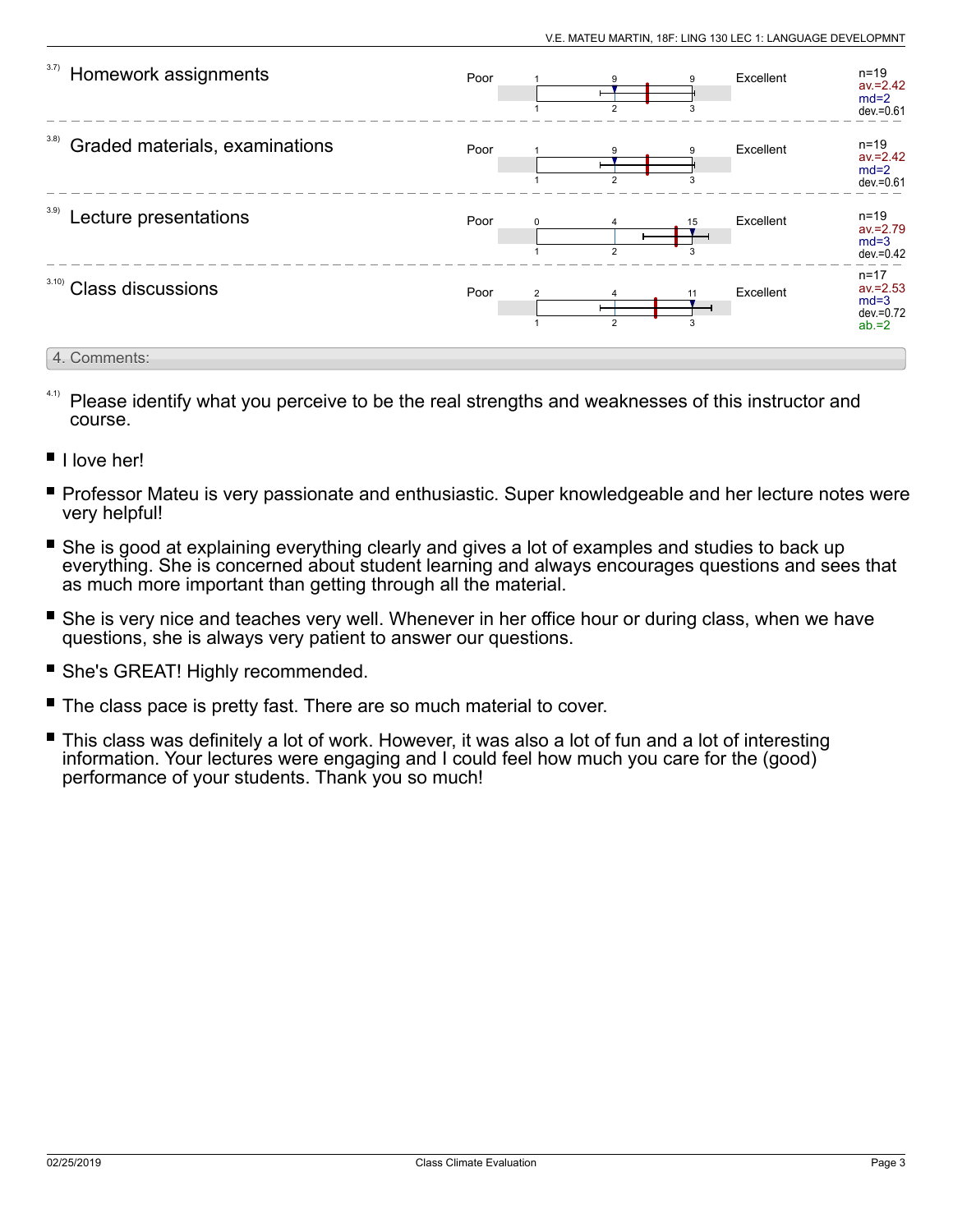| 3.7)<br>Homework assignments           | Poor |          | $\overline{2}$ | 9<br>3              | Excellent | $n=19$<br>$av = 2.42$<br>$md=2$<br>$dev = 0.61$               |
|----------------------------------------|------|----------|----------------|---------------------|-----------|---------------------------------------------------------------|
| 3.8)<br>Graded materials, examinations | Poor |          | $\mathcal{P}$  |                     | Excellent | $n = 19$<br>$av = 2.42$<br>$md=2$<br>dev.=0.61                |
| 3.9)<br>Lecture presentations          | Poor | $\Omega$ | $\overline{2}$ | 15<br>$\mathcal{R}$ | Excellent | $n=19$<br>$av = 2.79$<br>$md=3$<br>$dev = 0.42$               |
| 3.10<br><b>Class discussions</b>       | Poor |          | $\overline{2}$ | 3                   | Excellent | $n = 17$<br>$av = 2.53$<br>$md=3$<br>$dev = 0.72$<br>$ab = 2$ |
| 4. Comments:                           |      |          |                |                     |           |                                                               |

- Please identify what you perceive to be the real strengths and weaknesses of this instructor and course. 4.1)
- I love her!
- **Professor Mateu is very passionate and enthusiastic. Super knowledgeable and her lecture notes were** very helpful!
- П She is good at explaining everything clearly and gives a lot of examples and studies to back up everything. She is concerned about student learning and always encourages questions and sees that as much more important than getting through all the material.
- She is very nice and teaches very well. Whenever in her office hour or during class, when we have questions, she is always very patient to answer our questions.
- **She's GREAT! Highly recommended.**
- The class pace is pretty fast. There are so much material to cover.
- П This class was definitely a lot of work. However, it was also a lot of fun and a lot of interesting information. Your lectures were engaging and I could feel how much you care for the (good) performance of your students. Thank you so much!